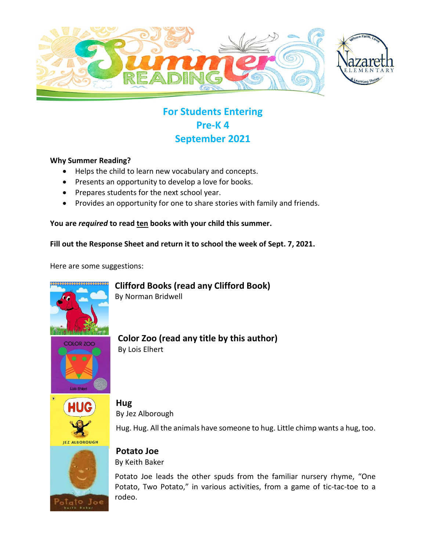

# **For Students Entering Pre-K 4 September 2021**

#### **Why Summer Reading?**

- Helps the child to learn new vocabulary and concepts.
- Presents an opportunity to develop a love for books.
- Prepares students for the next school year.
- Provides an opportunity for one to share stories with family and friends.

#### **You are** *required* **to read ten books with your child this summer.**

**Fill out the Response Sheet and return it to school the week of Sept. 7, 2021.** 

Here are some suggestions:

## **Clifford Books (read any Clifford Book)**

By Norman Bridwell



# **Color Zoo (read any title by this author)**

By Lois Elhert



## **Hug** By Jez Alborough Hug. Hug. All the animals have someone to hug. Little chimp wants a hug, too.

# **Potato Joe**

By Keith Baker

Potato Joe leads the other spuds from the familiar nursery rhyme, "One Potato, Two Potato," in various activities, from a game of tic-tac-toe to a rodeo.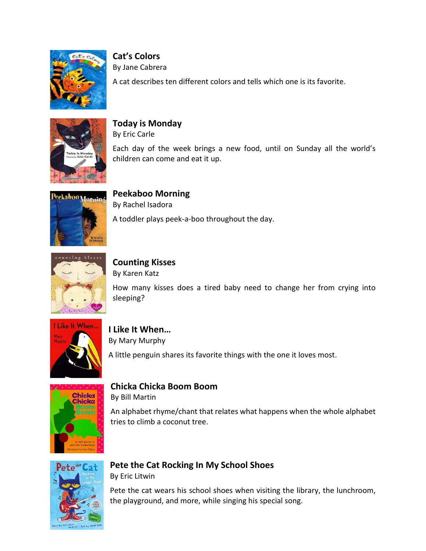

**Cat's Colors** By Jane Cabrera

A cat describes ten different colors and tells which one is its favorite.



**Today is Monday** By Eric Carle

Each day of the week brings a new food, until on Sunday all the world's children can come and eat it up.



**Peekaboo Morning**

By Rachel Isadora

A toddler plays peek-a-boo throughout the day.



# **Counting Kisses**

By Karen Katz

How many kisses does a tired baby need to change her from crying into sleeping?



# **I Like It When…**

By Mary Murphy

A little penguin shares its favorite things with the one it loves most.



## **Chicka Chicka Boom Boom**

By Bill Martin

An alphabet rhyme/chant that relates what happens when the whole alphabet tries to climb a coconut tree.



## **Pete the Cat Rocking In My School Shoes**

By Eric Litwin

Pete the cat wears his school shoes when visiting the library, the lunchroom, the playground, and more, while singing his special song.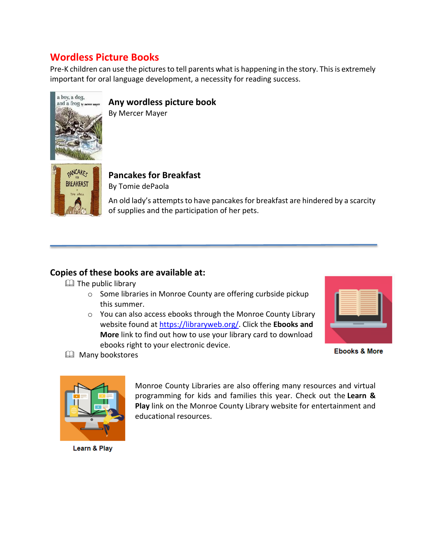# **Wordless Picture Books**

Pre-K children can use the pictures to tell parents what is happening in the story. This is extremely important for oral language development, a necessity for reading success.



### **Any wordless picture book**

By Mercer Mayer



**Pancakes for Breakfast** By Tomie dePaola

An old lady's attempts to have pancakes for breakfast are hindered by a scarcity of supplies and the participation of her pets.

#### **Copies of these books are available at:**

 $\Box$  The public library

**E** Many bookstores

- o Some libraries in Monroe County are offering curbside pickup this summer.
- o You can also access ebooks through the Monroe County Library website found at [https://libraryweb.org/.](https://libraryweb.org/) Click the **Ebooks and More** link to find out how to use your library card to download ebooks right to your electronic device.



**Ebooks & More** 



Monroe County Libraries are also offering many resources and virtual programming for kids and families this year. Check out the **Learn & Play** link on the Monroe County Library website for entertainment and educational resources.

Learn & Play